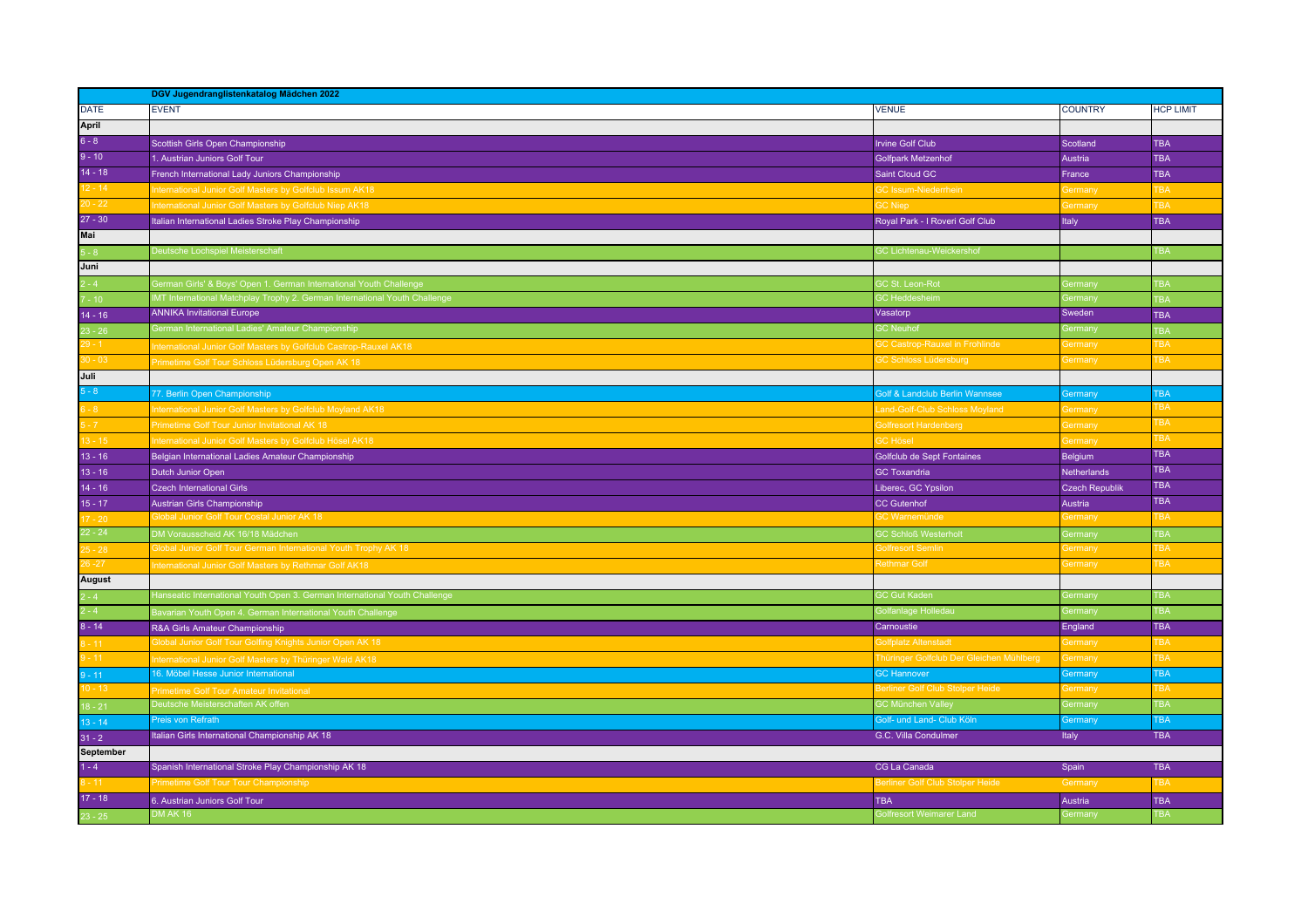|               | DGV Jugendranglistenkatalog Mädchen 2022                                   |                                          |                                 |                  |  |
|---------------|----------------------------------------------------------------------------|------------------------------------------|---------------------------------|------------------|--|
| <b>DATE</b>   | <b>EVENT</b>                                                               | <b>VENUE</b>                             | <b>COUNTRY</b>                  | <b>HCP LIMIT</b> |  |
| April         |                                                                            |                                          |                                 |                  |  |
| $6 - 8$       | Scottish Girls Open Championship                                           | <b>Irvine Golf Club</b>                  | Scotland                        | <b>TBA</b>       |  |
| $9 - 10$      | 1. Austrian Juniors Golf Tour                                              | <b>Golfpark Metzenhof</b>                | Austria                         | <b>TBA</b>       |  |
| $14 - 18$     | French International Lady Juniors Championship                             | Saint Cloud GC                           | France                          | <b>TBA</b>       |  |
| $12 - 14$     | nternational Junior Golf Masters by Golfclub Issum AK18                    | <b>SC Issum-Niederrhein</b>              | Germany                         | <b>TBA</b>       |  |
| $0 - 22$      | nternational Junior Golf Masters by Golfclub Niep AK18                     | <b>GC Niep</b>                           | <b>Germany</b>                  | <b>TBA</b>       |  |
| $27 - 30$     | Italian International Ladies Stroke Play Championship                      | Royal Park - I Roveri Golf Club          | <b>Italy</b>                    | <b>TBA</b>       |  |
| Mai           |                                                                            |                                          |                                 |                  |  |
| $5 - 8$       | Deutsche Lochspiel Meisterschaft                                           | <b>GC Lichtenau-Weickershof</b>          |                                 | TBA              |  |
| Juni          |                                                                            |                                          |                                 |                  |  |
| $-4$          | German Girls' & Boys' Open 1. German International Youth Challenge         | <b>SC St. Leon-Rot</b>                   | <b>Germany</b>                  | <b>TBA</b>       |  |
| $-10$         | MT International Matchplay Trophy 2. German International Youth Challenge  | <b>GC</b> Heddesheim                     | $\overline{\phantom{a}}$ ermany | <b>TBA</b>       |  |
| $14 - 16$     | <b>ANNIKA Invitational Europe</b>                                          | Vasatorp                                 | Sweden                          | <b>TBA</b>       |  |
| $23 - 26$     | Serman International Ladies' Amateur Championship                          | <b>GC</b> Neuhof                         | <b>Germany</b>                  | <b>TBA</b>       |  |
| 29 - 1        | nternational Junior Golf Masters by Golfclub Castrop-Rauxel AK18           | <b>GC Castrop-Rauxel in Frohlinde</b>    | <b>Germany</b>                  | TBA              |  |
| $30 - 03$     | Primetime Golf Tour Schloss Lüdersburg Open AK 18                          | <b>3C Schloss Lüdersburg</b>             | Germany                         | <b>TBA</b>       |  |
| Juli          |                                                                            |                                          |                                 |                  |  |
| $-8$          | 77. Berlin Open Championship                                               | Golf & Landclub Berlin Wannsee           | Germany                         | <b>TBA</b>       |  |
| $3 - 8$       | nternational Junior Golf Masters by Golfclub Moyland AK18                  | Land-Golf-Club Schloss Moyland           | <b>Germany</b>                  | <b>BA</b>        |  |
| $-72$         | Primetime Golf Tour Junior Invitational AK 18                              | <b>Solfresort Hardenberg</b>             | <b>Germany</b>                  | TBA              |  |
| $3 - 15$      | nternational Junior Golf Masters by Golfclub Hösel AK18                    | <b>GC Hösel</b>                          | <b>Germany</b>                  | <b>TBA</b>       |  |
| $13 - 16$     | Belgian International Ladies Amateur Championship                          | Golfclub de Sept Fontaines               | <b>Belgium</b>                  | <b>TBA</b>       |  |
| $13 - 16$     | Dutch Junior Open                                                          | <b>GC Toxandria</b>                      | Netherlands                     | <b>TBA</b>       |  |
| $14 - 16$     | <b>Czech International Girls</b>                                           | Liberec, GC Ypsilon                      | Czech Republik                  | <b>TBA</b>       |  |
| $15 - 17$     | Austrian Girls Championship                                                | <b>CC Gutenhof</b>                       | Austria                         | <b>TBA</b>       |  |
| $7 - 20$      | <b>Slobal Junior Golf Tour Costal Junior AK 18</b>                         | <b>GC Warnemünde</b>                     | <b>Germany</b>                  | TBA              |  |
| $22 - 24$     | OM Vorausscheid AK 16/18 Mädchen                                           | <b>GC Schloß Westerholt</b>              | <b>Germany</b>                  | <b>TBA</b>       |  |
| $5 - 28$      | Global Junior Golf Tour German International Youth Trophy AK 18            | <b>Solfresort Semlin</b>                 | <b>Germany</b>                  | TBA              |  |
| $26 - 27$     | nternational Junior Golf Masters by Rethmar Golf AK18                      | <b>Rethmar Golf</b>                      | <b>Germany</b>                  | <b>TBA</b>       |  |
| <b>August</b> |                                                                            |                                          |                                 |                  |  |
| $-4$          | Hanseatic International Youth Open 3. German International Youth Challenge | <b>GC Gut Kaden</b>                      | Germany                         | <b>TBA</b>       |  |
| $2 - 4$       | Bavarian Youth Open 4. German International Youth Challenge                | <b>Golfanlage Holledau</b>               | Germany                         | TBA              |  |
| $8 - 14$      | R&A Girls Amateur Championship                                             | Carnoustie                               | England                         | <b>TBA</b>       |  |
| $-11$         | <b>Slobal Junior Golf Tour Golfing Knights Junior Open AK 18</b>           | <b>Solfplatz Altenstadt</b>              | <b>Germany</b>                  | <b>TBA</b>       |  |
| $-11$         | nternational Junior Golf Masters by Thüringer Wald AK18                    | Thüringer Golfclub Der Gleichen Mühlberg | Germany                         | <b>TBA</b>       |  |
| $-11$         | 16. Möbel Hesse Junior International                                       | <b>GC Hannover</b>                       | Germany                         | <b>TBA</b>       |  |
| $10 - 13$     | Primetime Golf Tour Amateur Invitational                                   | Berliner Golf Club Stolper Heide         | <b>Germany</b>                  | TBA              |  |
| $8 - 21$      | Deutsche Meisterschaften AK offen                                          | <b>GC München Valley</b>                 | <b>Germany</b>                  | <b>TBA</b>       |  |
| $13 - 14$     | Preis von Refrath                                                          | Golf- und Land- Club Köln                | Germany                         | <b>TBA</b>       |  |
| $31 - 2$      | Italian Girls International Championship AK 18                             | G.C. Villa Condulmer                     | Italy                           | <b>TBA</b>       |  |
| September     |                                                                            |                                          |                                 |                  |  |
| $1 - 4$       | Spanish International Stroke Play Championship AK 18                       | CG La Canada                             | Spain                           | <b>TBA</b>       |  |
| $-11$         | Primetime Golf Tour Tour Championship                                      | Berliner Golf Club Stolper Heide         | Germany                         | <b>TBA</b>       |  |
| $17 - 18$     | 6. Austrian Juniors Golf Tour                                              | <b>TBA</b>                               | Austria                         | <b>TBA</b>       |  |
| $23 - 25$     | <b>DM AK 16</b>                                                            | Golfresort Weimarer Land                 | <b>Germany</b>                  | <b>TBA</b>       |  |